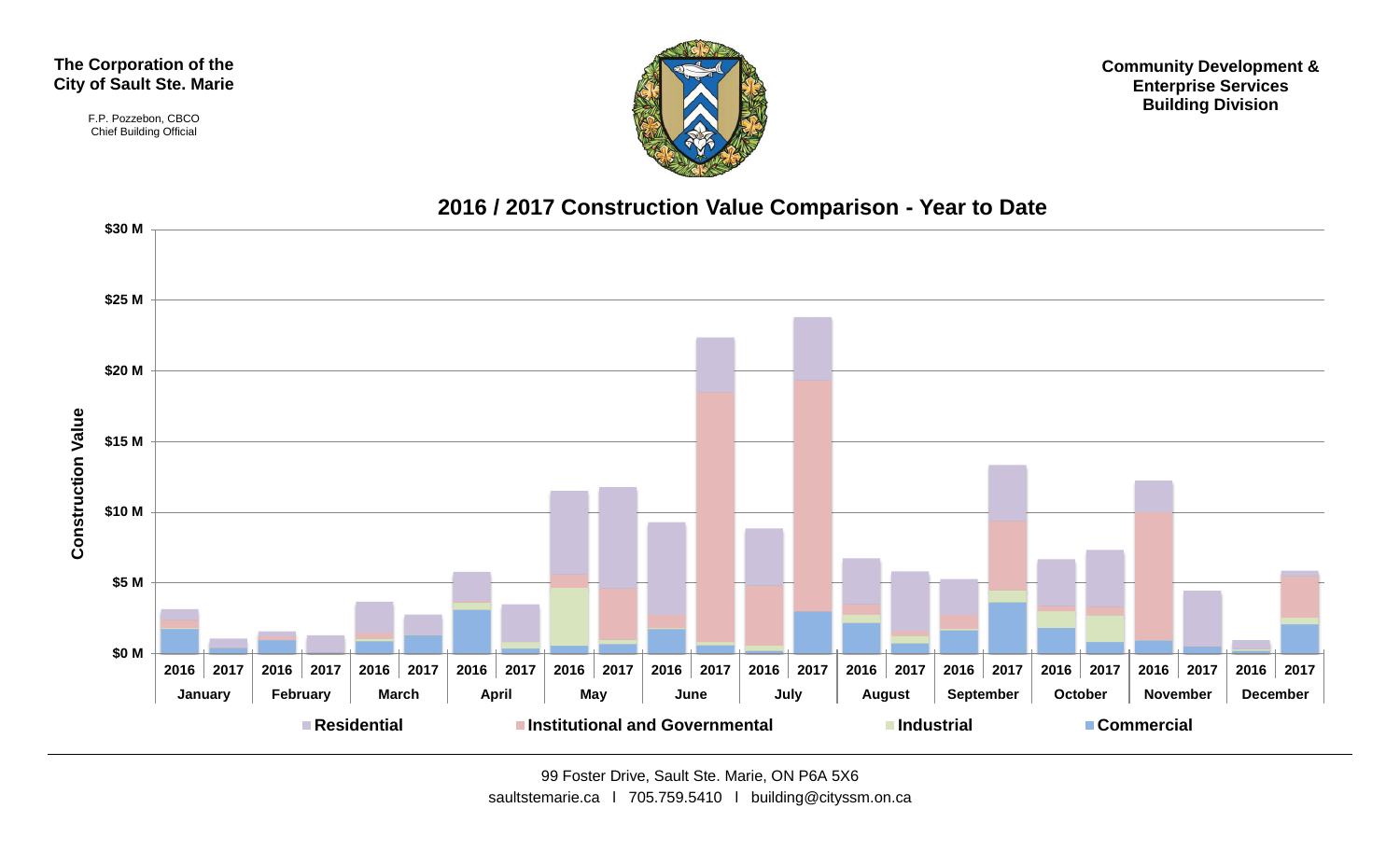#### **The Corporation of the City of Sault Ste. Marie**

F.P. Pozzebon, CBCO Chief Building Official



**Community Development & Enterprise Services Building Division**

#### **2016 / 2017 Construction Value Comparison - Year to Date**

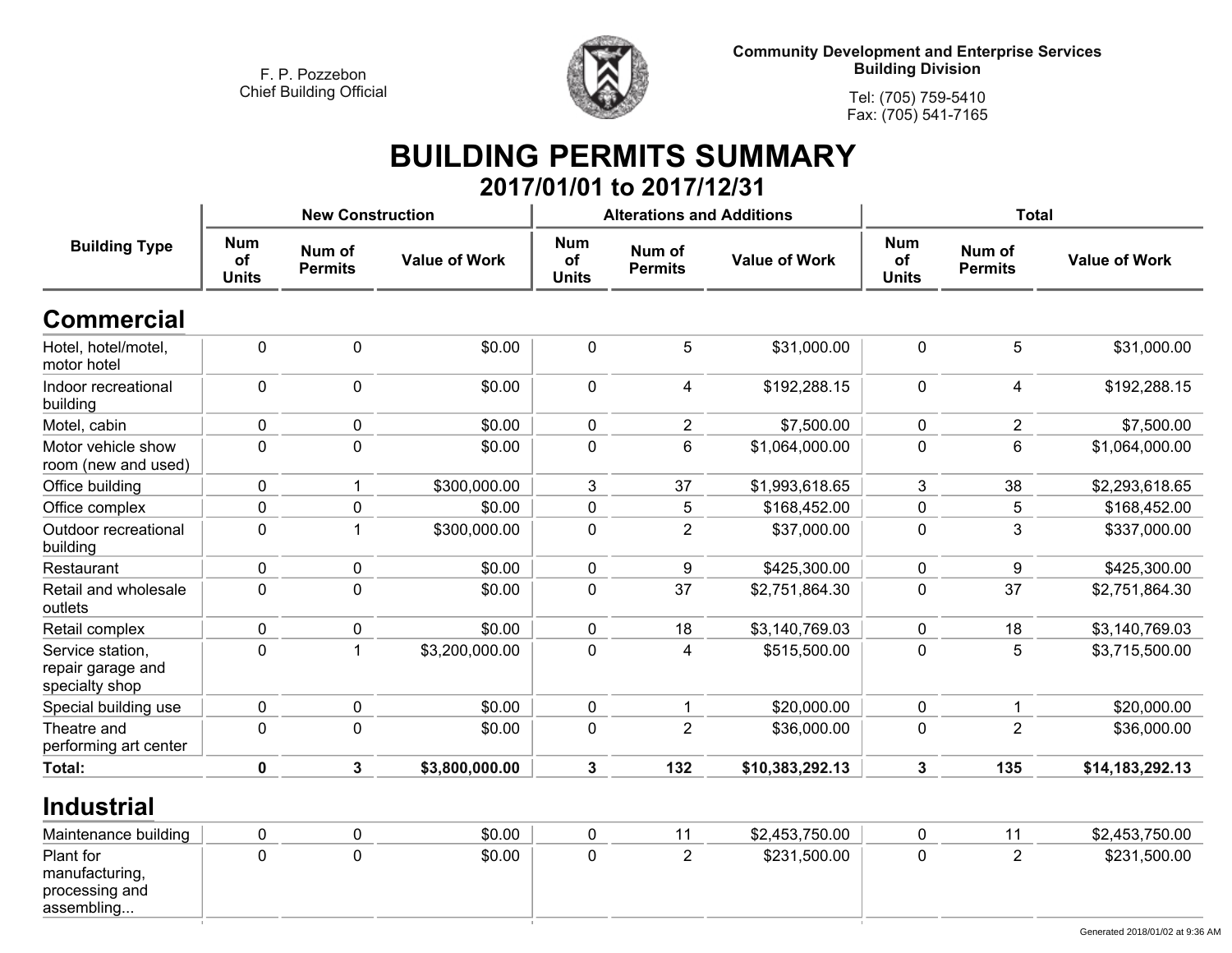

**Tel: (705) 759-5410Fax: (705) 541-7165**

#### **BUILDING PERMITS SUMMARY 2017/01/01 to 2017/12/31**

|                                                         |                                  | <b>New Construction</b>  |                      |                                  | <b>Alterations and Additions</b> |                      | <b>Total</b>                     |                          |                      |  |
|---------------------------------------------------------|----------------------------------|--------------------------|----------------------|----------------------------------|----------------------------------|----------------------|----------------------------------|--------------------------|----------------------|--|
| <b>Building Type</b>                                    | <b>Num</b><br>of<br><b>Units</b> | Num of<br><b>Permits</b> | <b>Value of Work</b> | <b>Num</b><br>of<br><b>Units</b> | Num of<br><b>Permits</b>         | <b>Value of Work</b> | <b>Num</b><br>of<br><b>Units</b> | Num of<br><b>Permits</b> | <b>Value of Work</b> |  |
| <b>Commercial</b>                                       |                                  |                          |                      |                                  |                                  |                      |                                  |                          |                      |  |
| Hotel, hotel/motel,<br>motor hotel                      | 0                                | $\mathbf 0$              | \$0.00               | $\mathbf 0$                      | 5                                | \$31,000.00          | $\mathbf 0$                      | 5                        | \$31,000.00          |  |
| Indoor recreational<br>building                         | 0                                | $\pmb{0}$                | \$0.00               | $\mathbf 0$                      | 4                                | \$192,288.15         | 0                                | 4                        | \$192,288.15         |  |
| Motel, cabin                                            | 0                                | 0                        | \$0.00               | $\mathbf 0$                      | $\overline{2}$                   | \$7,500.00           | $\mathbf 0$                      | $\overline{2}$           | \$7,500.00           |  |
| Motor vehicle show<br>room (new and used)               | 0                                | $\mathbf 0$              | \$0.00               | 0                                | 6                                | \$1,064,000.00       | 0                                | 6                        | \$1,064,000.00       |  |
| Office building                                         | 0                                | 1                        | \$300,000.00         | 3                                | 37                               | \$1,993,618.65       | 3                                | 38                       | \$2,293,618.65       |  |
| Office complex                                          | 0                                | 0                        | \$0.00               | $\mathbf 0$                      | 5                                | \$168,452.00         | 0                                | 5                        | \$168,452.00         |  |
| Outdoor recreational<br>building                        | 0                                | 1                        | \$300,000.00         | $\mathbf 0$                      | $\overline{2}$                   | \$37,000.00          | $\mathbf 0$                      | 3                        | \$337,000.00         |  |
| Restaurant                                              | 0                                | 0                        | \$0.00               | $\pmb{0}$                        | 9                                | \$425,300.00         | 0                                | 9                        | \$425,300.00         |  |
| Retail and wholesale<br>outlets                         | 0                                | $\pmb{0}$                | \$0.00               | $\mathbf 0$                      | 37                               | \$2,751,864.30       | $\mathbf 0$                      | 37                       | \$2,751,864.30       |  |
| Retail complex                                          | 0                                | 0                        | \$0.00               | $\mathbf 0$                      | 18                               | \$3,140,769.03       | $\mathbf 0$                      | 18                       | \$3,140,769.03       |  |
| Service station,<br>repair garage and<br>specialty shop | 0                                | 1                        | \$3,200,000.00       | $\mathbf 0$                      | 4                                | \$515,500.00         | 0                                | 5                        | \$3,715,500.00       |  |
| Special building use                                    | 0                                | $\pmb{0}$                | \$0.00               | $\mathbf 0$                      | $\mathbf{1}$                     | \$20,000.00          | $\mathbf 0$                      | $\mathbf{1}$             | \$20,000.00          |  |
| Theatre and<br>performing art center                    | 0                                | $\mathbf 0$              | \$0.00               | $\mathbf 0$                      | $\overline{2}$                   | \$36,000.00          | 0                                | $\overline{c}$           | \$36,000.00          |  |
| Total:                                                  | 0                                | $\mathbf{3}$             | \$3,800,000.00       | 3                                | 132                              | \$10,383,292.13      | 3                                | 135                      | \$14,183,292.13      |  |

#### **Industrial**

| Maintenance building                                        |  | \$0.00 |  | \$2,453,750.00 |  | \$2,453,750.00 |
|-------------------------------------------------------------|--|--------|--|----------------|--|----------------|
| Plant for<br>manufacturing,<br>processing and<br>assembling |  | \$0.00 |  | \$231,500.00   |  | \$231,500.00   |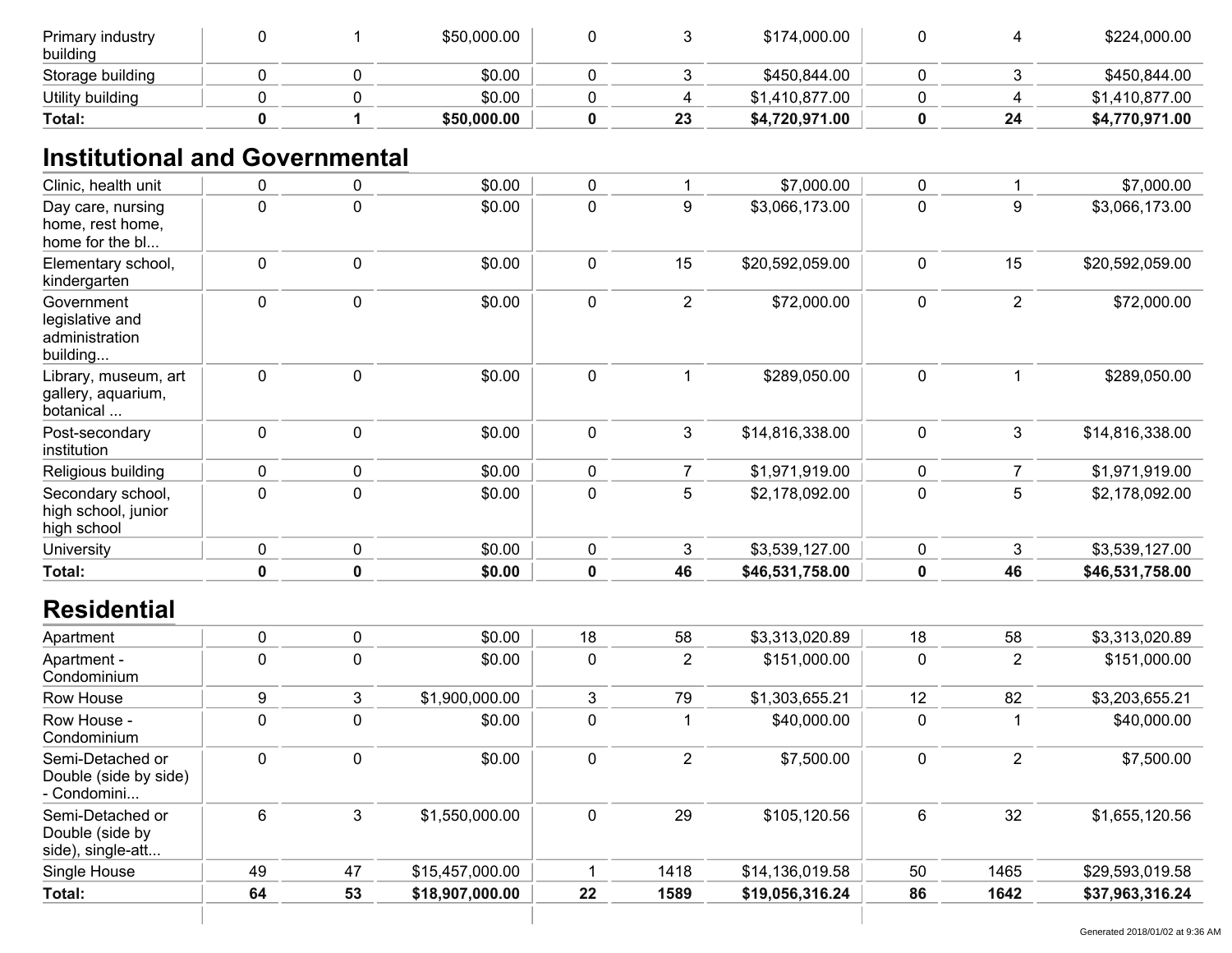| Primary industry<br>building |  | \$50,000.00 |    | \$174,000.00   |    | \$224,000.00   |
|------------------------------|--|-------------|----|----------------|----|----------------|
| Storage building             |  | \$0.00      |    | \$450,844.00   |    | \$450,844.00   |
| Utility building             |  | \$0.00      |    | \$1,410,877.00 |    | \$1,410,877.00 |
| Total:                       |  | \$50,000.00 | 23 | \$4,720,971.00 | 24 | \$4,770,971.00 |

# **Institutional and Governmental**

| Clinic, health unit                                         | 0           | $\pmb{0}$   | \$0.00          | $\pmb{0}$        | $\mathbf 1$    | \$7,000.00      | $\mathbf 0$ | -1             | \$7,000.00      |
|-------------------------------------------------------------|-------------|-------------|-----------------|------------------|----------------|-----------------|-------------|----------------|-----------------|
| Day care, nursing<br>home, rest home,<br>home for the bl    | $\pmb{0}$   | $\pmb{0}$   | \$0.00          | $\mathbf 0$      | 9              | \$3,066,173.00  | $\mathbf 0$ | 9              | \$3,066,173.00  |
| Elementary school,<br>kindergarten                          | 0           | $\pmb{0}$   | \$0.00          | $\pmb{0}$        | 15             | \$20,592,059.00 | $\mathbf 0$ | 15             | \$20,592,059.00 |
| Government<br>legislative and<br>administration<br>building | 0           | $\pmb{0}$   | \$0.00          | $\mathbf 0$      | $\overline{2}$ | \$72,000.00     | $\pmb{0}$   | $\overline{2}$ | \$72,000.00     |
| Library, museum, art<br>gallery, aquarium,<br>botanical     | 0           | $\pmb{0}$   | \$0.00          | $\pmb{0}$        | $\mathbf 1$    | \$289,050.00    | $\pmb{0}$   | -1             | \$289,050.00    |
| Post-secondary<br>institution                               | 0           | $\pmb{0}$   | \$0.00          | $\pmb{0}$        | $\mathfrak{Z}$ | \$14,816,338.00 | $\mathbf 0$ | 3              | \$14,816,338.00 |
| Religious building                                          | 0           | $\pmb{0}$   | \$0.00          | $\pmb{0}$        | $\overline{7}$ | \$1,971,919.00  | 0           | $\overline{7}$ | \$1,971,919.00  |
| Secondary school,<br>high school, junior<br>high school     | 0           | $\mathbf 0$ | \$0.00          | $\mathbf 0$      | 5              | \$2,178,092.00  | $\mathbf 0$ | 5              | \$2,178,092.00  |
| University                                                  | 0           | $\pmb{0}$   | \$0.00          | $\pmb{0}$        | 3              | \$3,539,127.00  | $\pmb{0}$   | 3              | \$3,539,127.00  |
| Total:                                                      | $\mathbf 0$ | $\mathbf 0$ | \$0.00          | $\mathbf 0$      | 46             | \$46,531,758.00 | 0           | 46             | \$46,531,758.00 |
| <b>Residential</b>                                          |             |             |                 |                  |                |                 |             |                |                 |
| Apartment                                                   | 0           | $\pmb{0}$   | \$0.00          | 18               | 58             | \$3,313,020.89  | 18          | 58             | \$3,313,020.89  |
| Apartment -<br>Condominium                                  | 0           | $\pmb{0}$   | \$0.00          | $\boldsymbol{0}$ | $\overline{2}$ | \$151,000.00    | $\mathbf 0$ | $\overline{2}$ | \$151,000.00    |
| Row House                                                   | 9           | 3           | \$1,900,000.00  | 3                | 79             | \$1,303,655.21  | 12          | 82             | \$3,203,655.21  |
| Row House -<br>Condominium                                  | $\pmb{0}$   | $\mathbf 0$ | \$0.00          | $\mathbf 0$      | $\mathbf 1$    | \$40,000.00     | $\mathbf 0$ |                | \$40,000.00     |
| Semi-Detached or<br>Double (side by side)<br>- Condomini    | 0           | $\pmb{0}$   | \$0.00          | $\pmb{0}$        | $\overline{2}$ | \$7,500.00      | 0           | $\overline{2}$ | \$7,500.00      |
| Semi-Detached or<br>Double (side by<br>side), single-att    | 6           | 3           | \$1,550,000.00  | $\boldsymbol{0}$ | 29             | \$105,120.56    | 6           | 32             | \$1,655,120.56  |
| Single House                                                | 49          | 47          | \$15,457,000.00 | 1                | 1418           | \$14,136,019.58 | 50          | 1465           | \$29,593,019.58 |
| <b>Total:</b>                                               | 64          | 53          | \$18,907,000.00 | 22               | 1589           | \$19,056,316.24 | 86          | 1642           | \$37,963,316.24 |
|                                                             |             |             |                 |                  |                |                 |             |                |                 |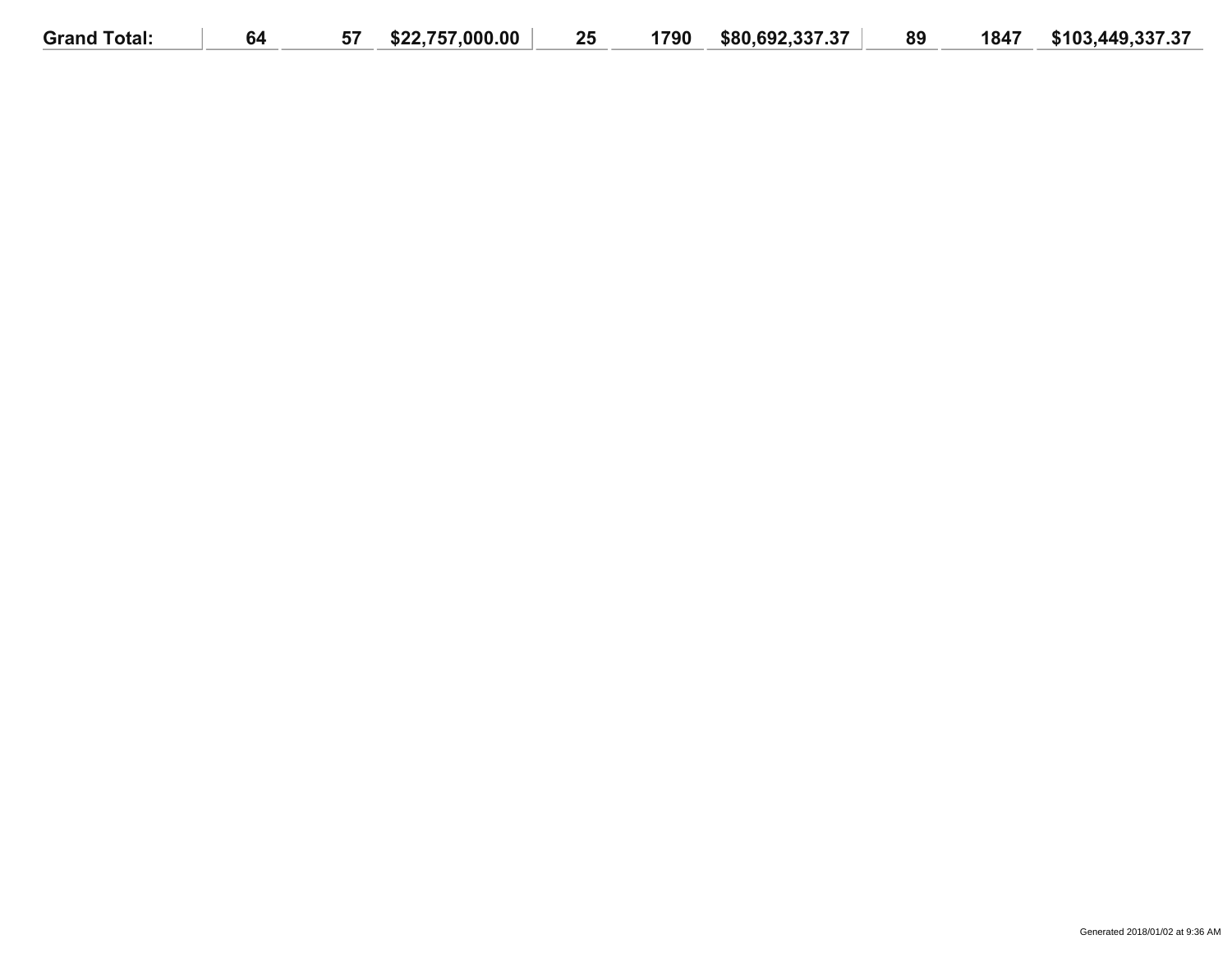| <b>Grand Total:</b> | 64 | --<br>5/ | \$22,757,000.00 | 25 | 1790 | \$80.692.337.37 | 89 | 1847 | \$103,449,337.37 |
|---------------------|----|----------|-----------------|----|------|-----------------|----|------|------------------|
|                     |    |          |                 |    |      |                 |    |      |                  |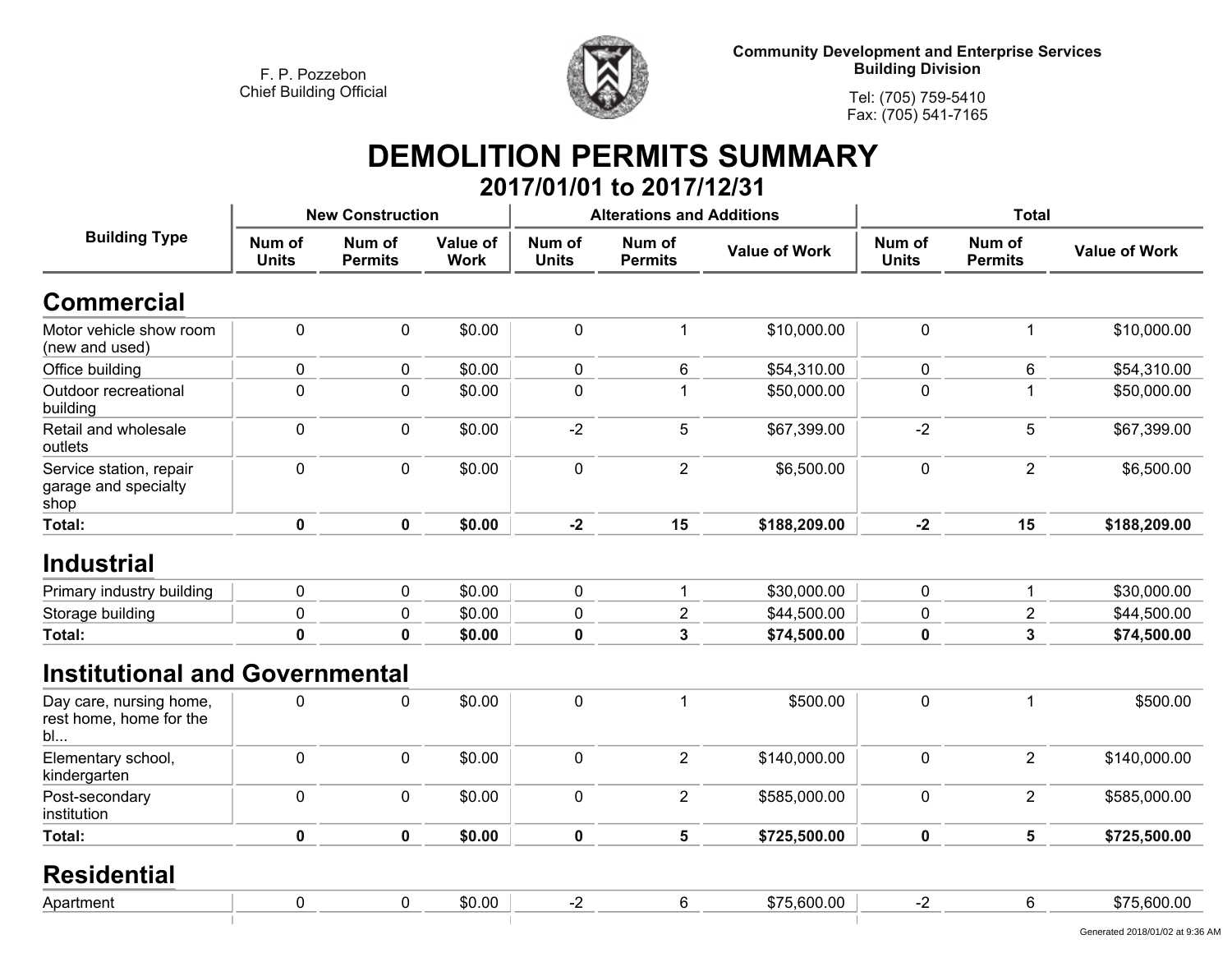

**Tel: (705) 759-5410Fax: (705) 541-7165**

#### **DEMOLITION PERMITS SUMMARY 2017/01/01 to 2017/12/31**

|                                                          |                        | <b>New Construction</b>  |                         |                        | <b>Alterations and Additions</b> |                      | <b>Total</b>           |                          |                      |
|----------------------------------------------------------|------------------------|--------------------------|-------------------------|------------------------|----------------------------------|----------------------|------------------------|--------------------------|----------------------|
| <b>Building Type</b>                                     | Num of<br><b>Units</b> | Num of<br><b>Permits</b> | Value of<br><b>Work</b> | Num of<br><b>Units</b> | Num of<br><b>Permits</b>         | <b>Value of Work</b> | Num of<br><b>Units</b> | Num of<br><b>Permits</b> | <b>Value of Work</b> |
| <b>Commercial</b>                                        |                        |                          |                         |                        |                                  |                      |                        |                          |                      |
| Motor vehicle show room<br>(new and used)                | $\mathbf 0$            | $\mathbf 0$              | \$0.00                  | $\mathbf 0$            | 1                                | \$10,000.00          | 0                      | 1                        | \$10,000.00          |
| Office building                                          | 0                      | 0                        | \$0.00                  | $\mathbf 0$            | 6                                | \$54,310.00          | 0                      | 6                        | \$54,310.00          |
| Outdoor recreational<br>building                         | $\mathbf 0$            | $\pmb{0}$                | \$0.00                  | $\pmb{0}$              | 1                                | \$50,000.00          | 0                      |                          | \$50,000.00          |
| Retail and wholesale<br>outlets                          | $\mathbf 0$            | $\mathbf 0$              | \$0.00                  | $-2$                   | 5                                | \$67,399.00          | $-2$                   | 5                        | \$67,399.00          |
| Service station, repair<br>garage and specialty<br>shop  | $\pmb{0}$              | $\pmb{0}$                | \$0.00                  | $\pmb{0}$              | $\overline{2}$                   | \$6,500.00           | 0                      | $\overline{2}$           | \$6,500.00           |
| Total:                                                   | $\mathbf 0$            | $\mathbf 0$              | \$0.00                  | $-2$                   | 15                               | \$188,209.00         | $-2$                   | 15                       | \$188,209.00         |
| <b>Industrial</b>                                        |                        |                          |                         |                        |                                  |                      |                        |                          |                      |
| Primary industry building                                | $\pmb{0}$              | $\mathbf 0$              | \$0.00                  | $\mathbf 0$            | $\mathbf{1}$                     | \$30,000.00          | 0                      | 1                        | \$30,000.00          |
| Storage building                                         | $\pmb{0}$              | $\pmb{0}$                | \$0.00                  | 0                      | $\overline{2}$                   | \$44,500.00          | 0                      | $\overline{c}$           | \$44,500.00          |
| Total:                                                   | $\mathbf 0$            | $\mathbf 0$              | \$0.00                  | $\mathbf 0$            | $\overline{3}$                   | \$74,500.00          | 0                      | $\mathbf{3}$             | \$74,500.00          |
| <b>Institutional and Governmental</b>                    |                        |                          |                         |                        |                                  |                      |                        |                          |                      |
| Day care, nursing home,<br>rest home, home for the<br>bl | 0                      | $\pmb{0}$                | \$0.00                  | $\pmb{0}$              | $\mathbf{1}$                     | \$500.00             | 0                      | $\mathbf 1$              | \$500.00             |
| Elementary school,<br>kindergarten                       | $\pmb{0}$              | $\pmb{0}$                | \$0.00                  | $\pmb{0}$              | $\overline{2}$                   | \$140,000.00         | 0                      | $\overline{2}$           | \$140,000.00         |
| Post-secondary<br>institution                            | $\pmb{0}$              | $\pmb{0}$                | \$0.00                  | $\pmb{0}$              | $\overline{2}$                   | \$585,000.00         | 0                      | $\overline{2}$           | \$585,000.00         |
| Total:                                                   | $\mathbf 0$            | $\mathbf 0$              | \$0.00                  | $\mathbf 0$            | $5\phantom{a}$                   | \$725,500.00         | 0                      | 5                        | \$725,500.00         |
| <b>Residential</b>                                       |                        |                          |                         |                        |                                  |                      |                        |                          |                      |
| Apartment                                                | $\mathbf 0$            | $\pmb{0}$                | \$0.00                  | $-2$                   | $\,6\,$                          | \$75,600.00          | $-2$                   | 6                        | \$75,600.00          |
|                                                          |                        |                          |                         |                        |                                  |                      |                        |                          |                      |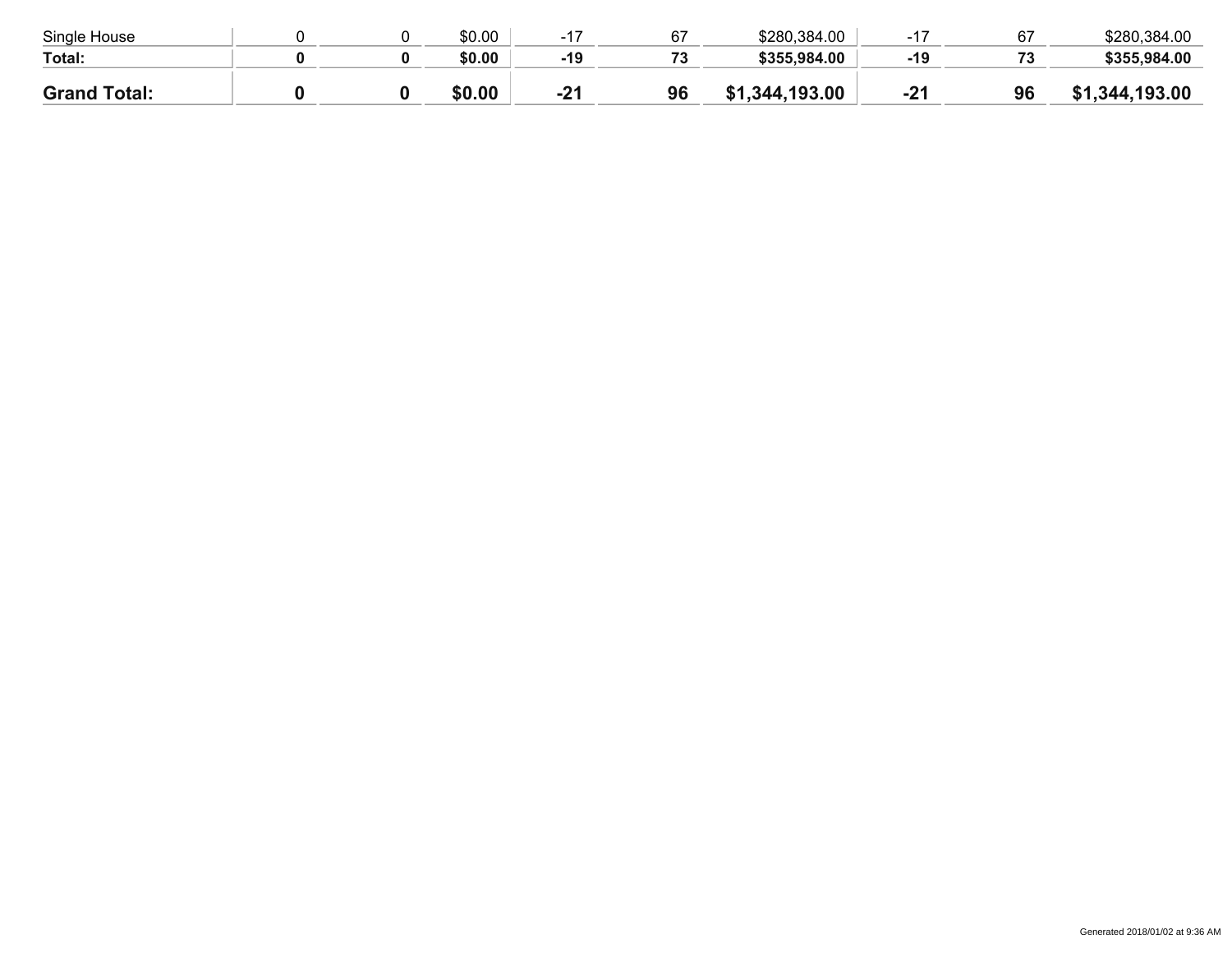| Single House        |  | \$0.00 |       | 67                       | \$280,384.00       | $4 -$ |     | \$280,384.00 |
|---------------------|--|--------|-------|--------------------------|--------------------|-------|-----|--------------|
| Total:              |  | \$0.00 | $-19$ | $\overline{\phantom{a}}$ | \$355,984.00       | -19   | د ، | \$355,984.00 |
| <b>Grand Total:</b> |  | \$0.00 | $-21$ | 96                       | ,344,193.00<br>\$1 | $-24$ | 96  | ,344,193.00  |
|                     |  |        |       |                          |                    |       |     |              |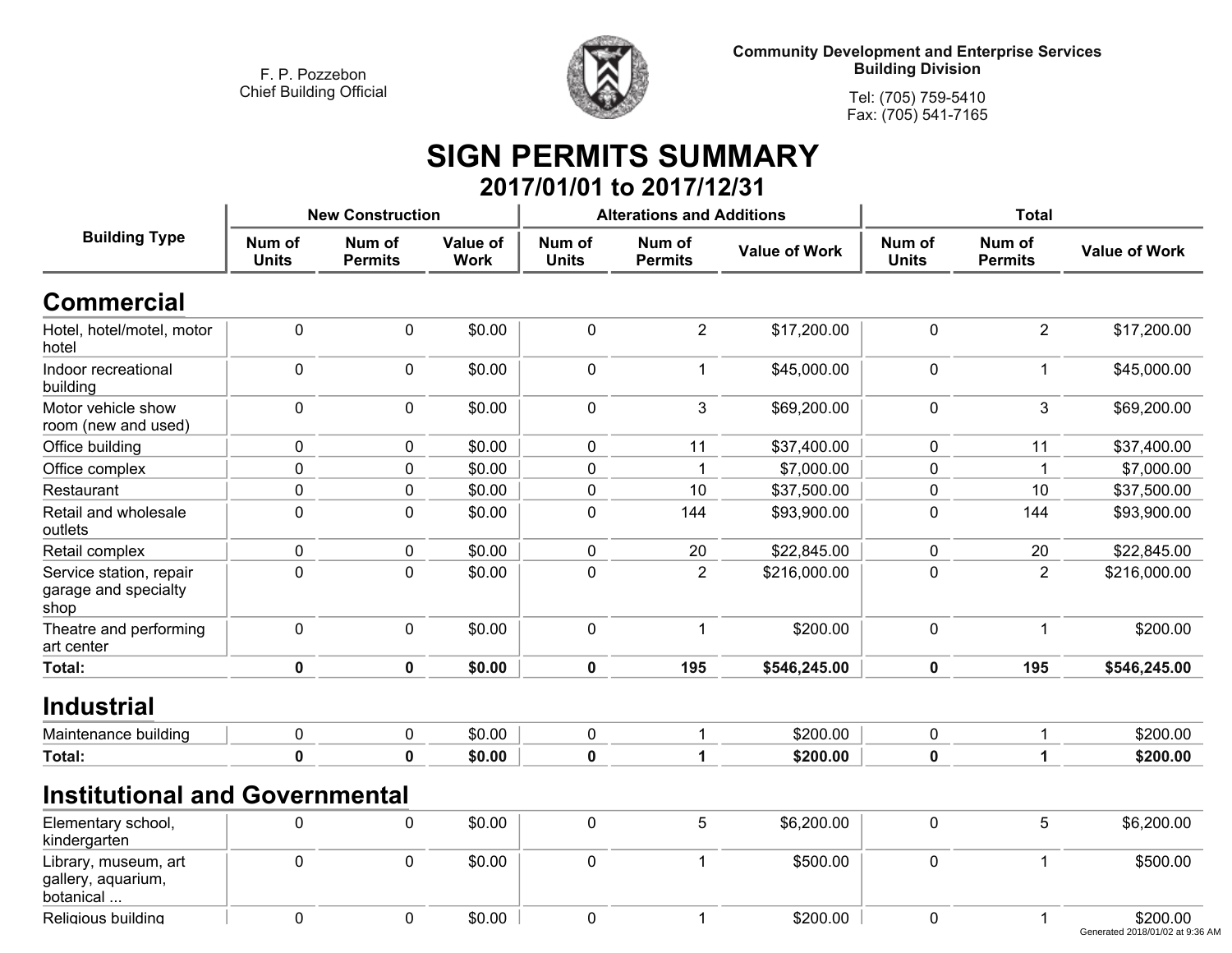**Religious building**



**Community Development and Enterprise Services Building Division**

**Tel: (705) 759-5410Fax: (705) 541-7165**

### **SIGN PERMITS SUMMARY 2017/01/01 to 2017/12/31**

|                                                         |                        | <b>New Construction</b>  |                         |                        | <b>Alterations and Additions</b> |                      | <b>Total</b>           |                          |                      |
|---------------------------------------------------------|------------------------|--------------------------|-------------------------|------------------------|----------------------------------|----------------------|------------------------|--------------------------|----------------------|
| <b>Building Type</b>                                    | Num of<br><b>Units</b> | Num of<br><b>Permits</b> | Value of<br><b>Work</b> | Num of<br><b>Units</b> | Num of<br><b>Permits</b>         | <b>Value of Work</b> | Num of<br><b>Units</b> | Num of<br><b>Permits</b> | <b>Value of Work</b> |
| <b>Commercial</b>                                       |                        |                          |                         |                        |                                  |                      |                        |                          |                      |
| Hotel, hotel/motel, motor<br>hotel                      | $\mathbf 0$            | $\mathbf 0$              | \$0.00                  | $\mathbf 0$            | $\overline{2}$                   | \$17,200.00          | $\mathbf 0$            | $\overline{2}$           | \$17,200.00          |
| Indoor recreational<br>building                         | $\mathbf 0$            | $\mathbf 0$              | \$0.00                  | $\mathbf 0$            | $\mathbf 1$                      | \$45,000.00          | $\mathbf 0$            | 1                        | \$45,000.00          |
| Motor vehicle show<br>room (new and used)               | $\pmb{0}$              | $\mathbf 0$              | \$0.00                  | $\mathbf 0$            | $\mathfrak{Z}$                   | \$69,200.00          | $\mathbf 0$            | 3                        | \$69,200.00          |
| Office building                                         | $\pmb{0}$              | 0                        | \$0.00                  | $\pmb{0}$              | 11                               | \$37,400.00          | $\mathbf 0$            | 11                       | \$37,400.00          |
| Office complex                                          | 0                      | 0                        | \$0.00                  | 0                      | -1                               | \$7,000.00           | 0                      |                          | \$7,000.00           |
| Restaurant                                              | $\pmb{0}$              | $\mathbf 0$              | \$0.00                  | $\mathbf 0$            | 10                               | \$37,500.00          | $\mathbf 0$            | 10                       | \$37,500.00          |
| Retail and wholesale<br>outlets                         | $\pmb{0}$              | $\mathbf 0$              | \$0.00                  | $\mathbf 0$            | 144                              | \$93,900.00          | $\mathbf 0$            | 144                      | \$93,900.00          |
| Retail complex                                          | $\pmb{0}$              | $\mathbf 0$              | \$0.00                  | $\pmb{0}$              | 20                               | \$22,845.00          | $\mathbf 0$            | 20                       | \$22,845.00          |
| Service station, repair<br>garage and specialty<br>shop | $\mathbf 0$            | $\mathbf{0}$             | \$0.00                  | $\mathbf 0$            | $\overline{2}$                   | \$216,000.00         | 0                      | $\overline{2}$           | \$216,000.00         |
| Theatre and performing<br>art center                    | 0                      | $\mathbf 0$              | \$0.00                  | $\mathbf 0$            | $\overline{1}$                   | \$200.00             | $\mathbf 0$            | -1                       | \$200.00             |
| Total:                                                  | $\mathbf 0$            | $\mathbf 0$              | \$0.00                  | $\mathbf 0$            | 195                              | \$546,245.00         | $\mathbf 0$            | 195                      | \$546,245.00         |
| <b>Industrial</b>                                       |                        |                          |                         |                        |                                  |                      |                        |                          |                      |
| Maintenance building                                    | $\pmb{0}$              | $\pmb{0}$                | \$0.00                  | $\mathbf 0$            | 1                                | \$200.00             | $\mathbf 0$            |                          | \$200.00             |
| Total:                                                  | $\mathbf 0$            | $\bf{0}$                 | \$0.00                  | $\mathbf 0$            | 1                                | \$200.00             | $\mathbf 0$            | 1                        | \$200.00             |
| <b>Institutional and Governmental</b>                   |                        |                          |                         |                        |                                  |                      |                        |                          |                      |
| Elementary school,<br>kindergarten                      | 0                      | $\mathbf 0$              | \$0.00                  | $\mathbf 0$            | 5                                | \$6,200.00           | $\pmb{0}$              | 5                        | \$6,200.00           |
| Library, museum, art<br>gallery, aquarium,<br>botanical | $\mathbf 0$            | $\mathbf 0$              | \$0.00                  | $\mathbf 0$            | $\overline{1}$                   | \$500.00             | $\pmb{0}$              | $\mathbf{1}$             | \$500.00             |

 **<sup>0</sup> <sup>0</sup> \$0.00 <sup>0</sup> <sup>1</sup> \$200.00 <sup>0</sup> <sup>1</sup> \$200.00** Generated 2018/01/02 at 9:36 AM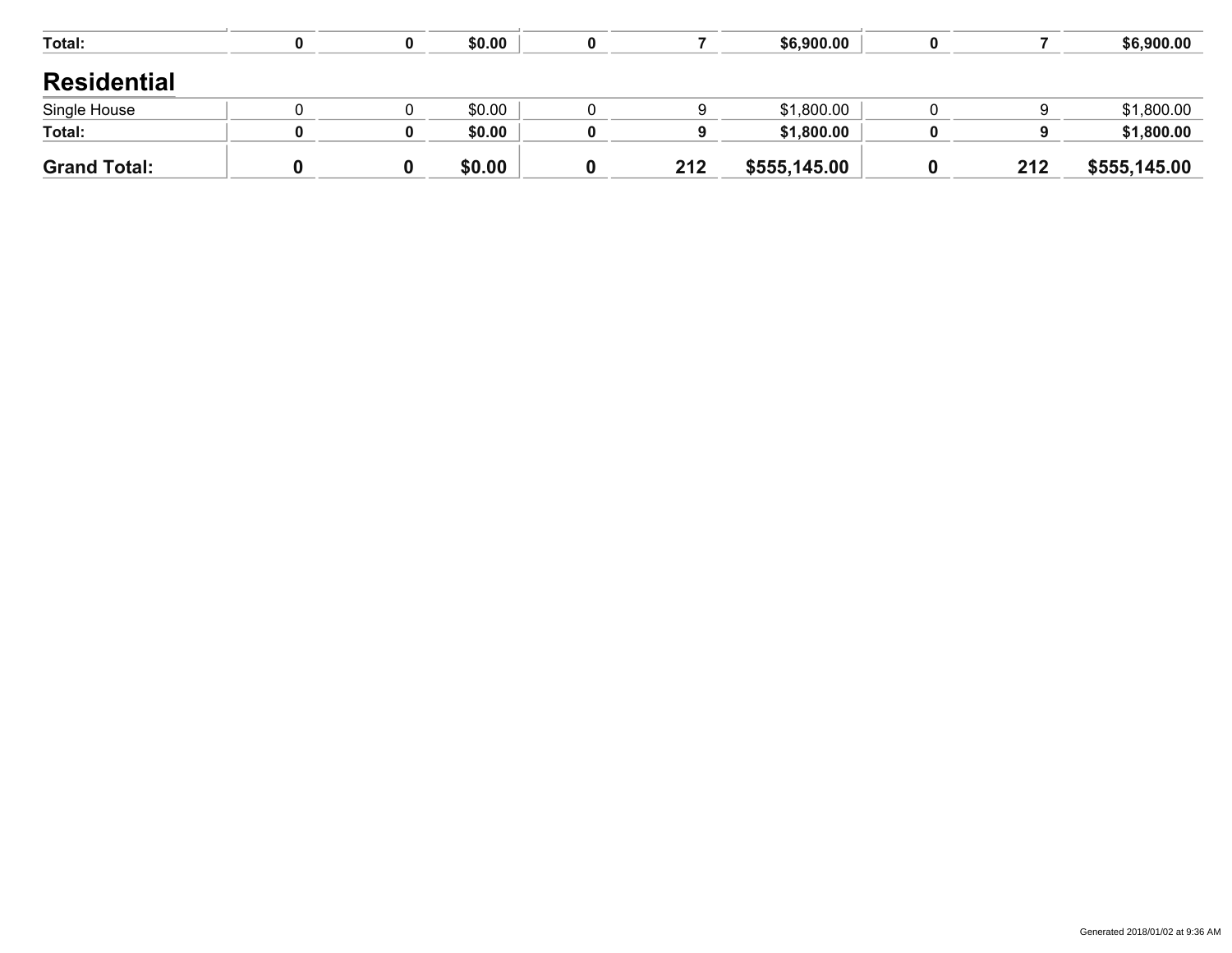| <b>Grand Total:</b> |  | \$0.00 | 212 | \$555,145.00 | 212 | \$555,145.00 |
|---------------------|--|--------|-----|--------------|-----|--------------|
| Total:              |  | \$0.00 | 9   | \$1,800.00   | 9   | \$1,800.00   |
| Single House        |  | \$0.00 |     | \$1,800.00   |     | \$1,800.00   |
| <b>Residential</b>  |  |        |     |              |     |              |
|                     |  |        |     |              |     |              |
| Total:              |  | \$0.00 |     | \$6,900.00   |     | \$6,900.00   |
|                     |  |        |     |              |     |              |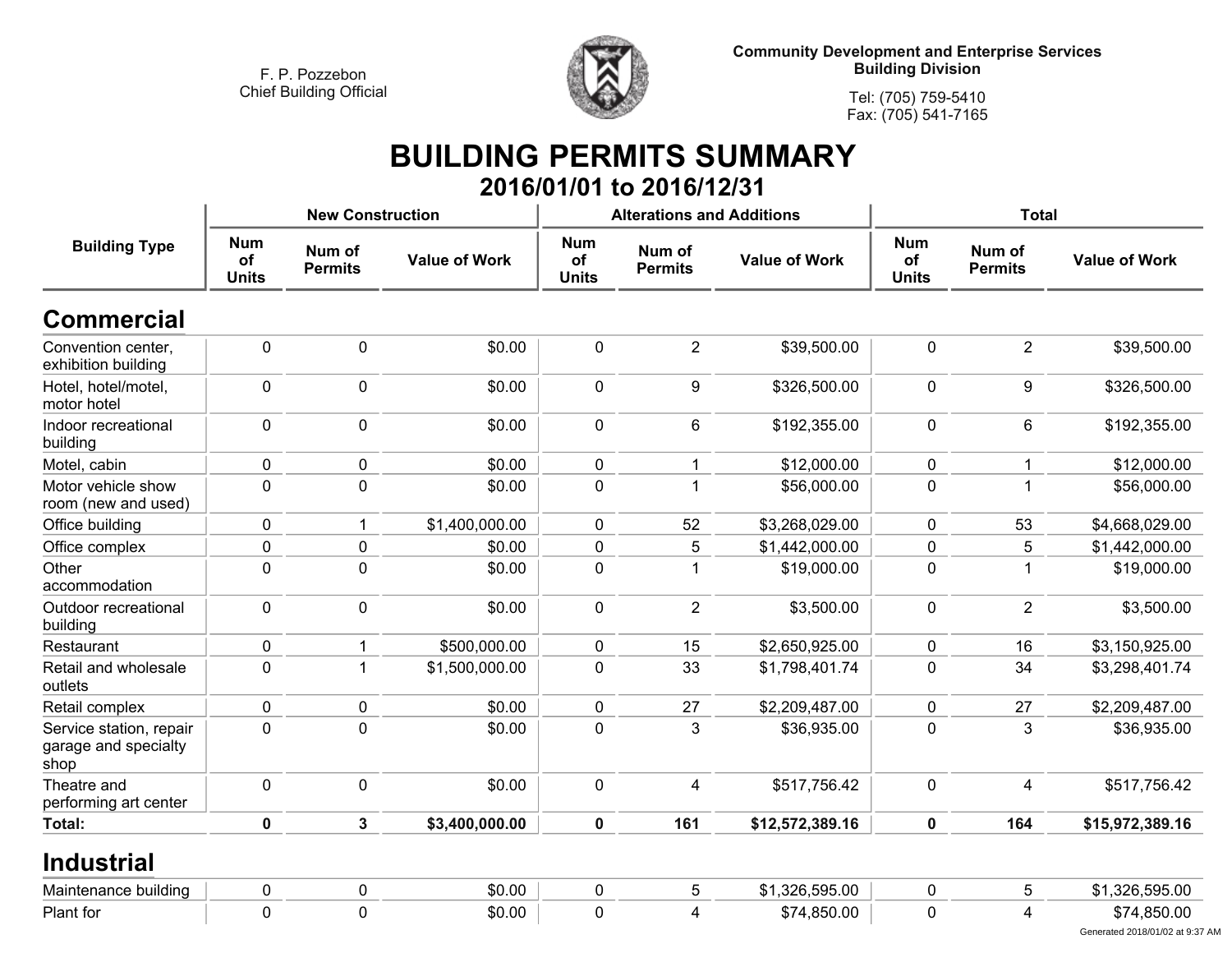

**Tel: (705) 759-5410Fax: (705) 541-7165**

#### **BUILDING PERMITS SUMMARY 2016/01/01 to 2016/12/31**

|                                                         |                                  | <b>New Construction</b>  |                      |                                  | <b>Alterations and Additions</b> |                      | <b>Total</b>                     |                          |                                                |  |
|---------------------------------------------------------|----------------------------------|--------------------------|----------------------|----------------------------------|----------------------------------|----------------------|----------------------------------|--------------------------|------------------------------------------------|--|
| <b>Building Type</b>                                    | <b>Num</b><br>of<br><b>Units</b> | Num of<br><b>Permits</b> | <b>Value of Work</b> | <b>Num</b><br>of<br><b>Units</b> | Num of<br><b>Permits</b>         | <b>Value of Work</b> | <b>Num</b><br>of<br><b>Units</b> | Num of<br><b>Permits</b> | <b>Value of Work</b>                           |  |
| <b>Commercial</b>                                       |                                  |                          |                      |                                  |                                  |                      |                                  |                          |                                                |  |
| Convention center,<br>exhibition building               | 0                                | $\mathbf 0$              | \$0.00               | $\mathbf 0$                      | $\overline{2}$                   | \$39,500.00          | $\mathbf 0$                      | 2                        | \$39,500.00                                    |  |
| Hotel, hotel/motel,<br>motor hotel                      | 0                                | $\mathbf 0$              | \$0.00               | $\mathbf 0$                      | 9                                | \$326,500.00         | $\mathbf 0$                      | 9                        | \$326,500.00                                   |  |
| Indoor recreational<br>building                         | 0                                | $\mathbf 0$              | \$0.00               | $\mathbf 0$                      | 6                                | \$192,355.00         | $\pmb{0}$                        | 6                        | \$192,355.00                                   |  |
| Motel, cabin                                            | 0                                | $\pmb{0}$                | \$0.00               | $\pmb{0}$                        | 1                                | \$12,000.00          | $\pmb{0}$                        | 1                        | \$12,000.00                                    |  |
| Motor vehicle show<br>room (new and used)               | $\mathbf 0$                      | $\mathbf 0$              | \$0.00               | $\mathbf 0$                      | 1                                | \$56,000.00          | $\mathbf 0$                      | 1                        | \$56,000.00                                    |  |
| Office building                                         | 0                                | $\mathbf 1$              | \$1,400,000.00       | $\pmb{0}$                        | 52                               | \$3,268,029.00       | 0                                | 53                       | \$4,668,029.00                                 |  |
| Office complex                                          | 0                                | $\mathbf 0$              | \$0.00               | $\mathbf 0$                      | 5                                | \$1,442,000.00       | $\mathbf 0$                      | 5                        | \$1,442,000.00                                 |  |
| Other<br>accommodation                                  | $\mathbf 0$                      | $\mathbf 0$              | \$0.00               | $\mathbf 0$                      | 1                                | \$19,000.00          | $\mathbf 0$                      | 1                        | \$19,000.00                                    |  |
| Outdoor recreational<br>building                        | 0                                | $\mathbf 0$              | \$0.00               | $\mathbf 0$                      | $\overline{2}$                   | \$3,500.00           | $\mathbf 0$                      | $\overline{2}$           | \$3,500.00                                     |  |
| Restaurant                                              | 0                                | $\mathbf 1$              | \$500,000.00         | $\mathbf 0$                      | 15                               | \$2,650,925.00       | $\mathbf 0$                      | 16                       | \$3,150,925.00                                 |  |
| Retail and wholesale<br>outlets                         | $\mathbf 0$                      | $\mathbf{1}$             | \$1,500,000.00       | $\mathbf 0$                      | 33                               | \$1,798,401.74       | $\mathbf 0$                      | 34                       | \$3,298,401.74                                 |  |
| Retail complex                                          | 0                                | $\mathbf 0$              | \$0.00               | $\mathbf 0$                      | 27                               | \$2,209,487.00       | 0                                | 27                       | \$2,209,487.00                                 |  |
| Service station, repair<br>garage and specialty<br>shop | $\mathbf 0$                      | $\mathbf 0$              | \$0.00               | $\mathbf 0$                      | 3                                | \$36,935.00          | $\pmb{0}$                        | 3                        | \$36,935.00                                    |  |
| Theatre and<br>performing art center                    | 0                                | $\mathbf 0$              | \$0.00               | $\mathbf 0$                      | $\overline{4}$                   | \$517,756.42         | $\mathbf 0$                      | $\overline{4}$           | \$517,756.42                                   |  |
| Total:                                                  | $\mathbf 0$                      | $\mathbf{3}$             | \$3,400,000.00       | $\mathbf 0$                      | 161                              | \$12,572,389.16      | $\mathbf 0$                      | 164                      | \$15,972,389.16                                |  |
| <b>Industrial</b>                                       |                                  |                          |                      |                                  |                                  |                      |                                  |                          |                                                |  |
| Maintenance building                                    | 0                                | $\pmb{0}$                | \$0.00               | $\pmb{0}$                        | 5                                | \$1,326,595.00       | $\pmb{0}$                        | 5                        | \$1,326,595.00                                 |  |
| Plant for                                               | $\mathbf 0$                      | $\mathbf 0$              | \$0.00               | $\mathbf 0$                      | 4                                | \$74,850.00          | $\mathbf 0$                      | 4                        | \$74,850.00<br>Generated 2018/01/02 at 9:37 AM |  |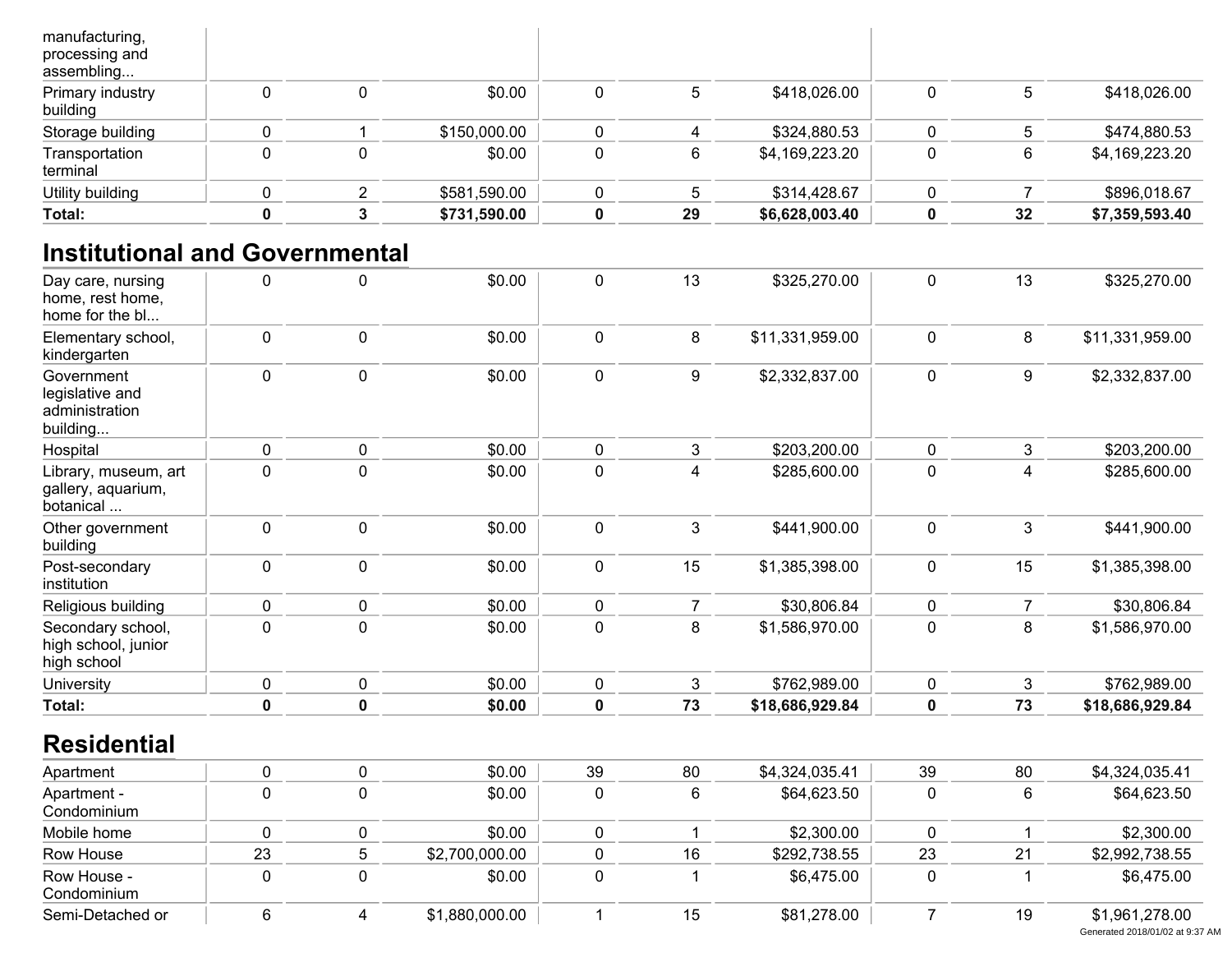| Total:                                         |  | \$731,590.00 | 29 | \$6,628,003.40 | 32 | \$7,359,593.40 |
|------------------------------------------------|--|--------------|----|----------------|----|----------------|
| Utility building                               |  | \$581,590.00 |    | \$314,428.67   |    | \$896,018.67   |
| Transportation<br>terminal                     |  | \$0.00       | 6  | \$4,169,223.20 | 6  | \$4,169,223.20 |
| Storage building                               |  | \$150,000.00 |    | \$324,880.53   |    | \$474,880.53   |
| Primary industry<br>building                   |  | \$0.00       | 5  | \$418,026.00   | 5  | \$418,026.00   |
| manufacturing,<br>processing and<br>assembling |  |              |    |                |    |                |

## **Institutional and Governmental**

| Day care, nursing<br>home, rest home,<br>home for the bl    | 0           | $\mathbf 0$ | \$0.00         | 0           | 13             | \$325,270.00    | 0              | 13             | \$325,270.00    |
|-------------------------------------------------------------|-------------|-------------|----------------|-------------|----------------|-----------------|----------------|----------------|-----------------|
| Elementary school,<br>kindergarten                          | $\pmb{0}$   | $\mathbf 0$ | \$0.00         | 0           | 8              | \$11,331,959.00 | $\pmb{0}$      | 8              | \$11,331,959.00 |
| Government<br>legislative and<br>administration<br>building | 0           | $\pmb{0}$   | \$0.00         | 0           | 9              | \$2,332,837.00  | 0              | 9              | \$2,332,837.00  |
| Hospital                                                    | $\mathbf 0$ | $\mathbf 0$ | \$0.00         | 0           | 3              | \$203,200.00    | 0              | 3              | \$203,200.00    |
| Library, museum, art<br>gallery, aquarium,<br>botanical     | 0           | $\mathbf 0$ | \$0.00         | 0           | 4              | \$285,600.00    | 0              | 4              | \$285,600.00    |
| Other government<br>building                                | $\mathbf 0$ | $\mathbf 0$ | \$0.00         | 0           | 3              | \$441,900.00    | 0              | 3              | \$441,900.00    |
| Post-secondary<br>institution                               | 0           | $\pmb{0}$   | \$0.00         | 0           | 15             | \$1,385,398.00  | 0              | 15             | \$1,385,398.00  |
| Religious building                                          | 0           | $\pmb{0}$   | \$0.00         | $\pmb{0}$   | $\overline{7}$ | \$30,806.84     | 0              | $\overline{7}$ | \$30,806.84     |
| Secondary school,<br>high school, junior<br>high school     | $\mathbf 0$ | $\mathbf 0$ | \$0.00         | $\mathbf 0$ | 8              | \$1,586,970.00  | 0              | 8              | \$1,586,970.00  |
| University                                                  | 0           | $\pmb{0}$   | \$0.00         | 0           | 3              | \$762,989.00    | $\pmb{0}$      | 3              | \$762,989.00    |
| Total:                                                      | $\pmb{0}$   | $\mathbf 0$ | \$0.00         | $\mathbf 0$ | 73             | \$18,686,929.84 | $\mathbf 0$    | 73             | \$18,686,929.84 |
| <b>Residential</b>                                          |             |             |                |             |                |                 |                |                |                 |
| Apartment                                                   | 0           | $\pmb{0}$   | \$0.00         | 39          | 80             | \$4,324,035.41  | 39             | 80             | \$4,324,035.41  |
| Apartment -<br>Condominium                                  | 0           | $\pmb{0}$   | \$0.00         | $\pmb{0}$   | 6              | \$64,623.50     | $\mathbf 0$    | 6              | \$64,623.50     |
| Mobile home                                                 | $\pmb{0}$   | $\pmb{0}$   | \$0.00         | 0           | $\mathbf{1}$   | \$2,300.00      | 0              | $\mathbf 1$    | \$2,300.00      |
| Row House                                                   | 23          | 5           | \$2,700,000.00 | 0           | 16             | \$292,738.55    | 23             | 21             | \$2,992,738.55  |
| Row House -<br>Condominium                                  | $\mathbf 0$ | $\mathbf 0$ | \$0.00         | 0           | 1              | \$6,475.00      | 0              | 1              | \$6,475.00      |
| Semi-Detached or                                            | 6           | 4           | \$1,880,000.00 |             | 15             | \$81,278.00     | $\overline{7}$ | 19             | \$1,961,278.00  |

Generated 2018/01/02 at 9:37 AM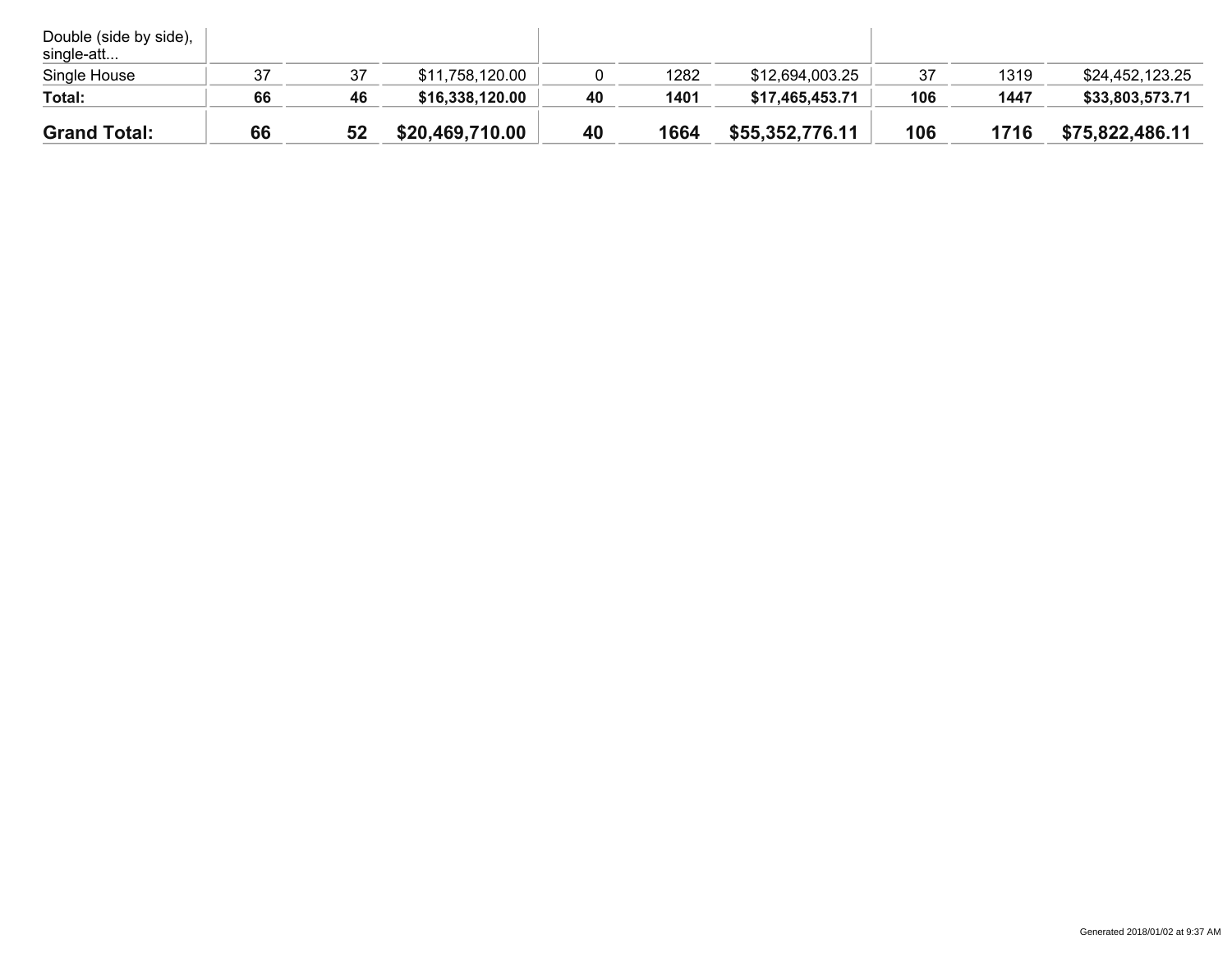| Double (side by side),<br>single-att |    |    |                 |    |      |                 |     |      |                 |
|--------------------------------------|----|----|-----------------|----|------|-----------------|-----|------|-----------------|
| Single House                         | 37 | 37 | \$11,758,120.00 |    | 1282 | \$12,694,003.25 | 37  | 1319 | \$24,452,123.25 |
| Total:                               | 66 | 46 | \$16,338,120.00 | 40 | 1401 | \$17,465,453.71 | 106 | 1447 | \$33,803,573.71 |
| <b>Grand Total:</b>                  | 66 | 52 | \$20,469,710.00 | 40 | 1664 | \$55,352,776.11 | 106 | 1716 | \$75,822,486.11 |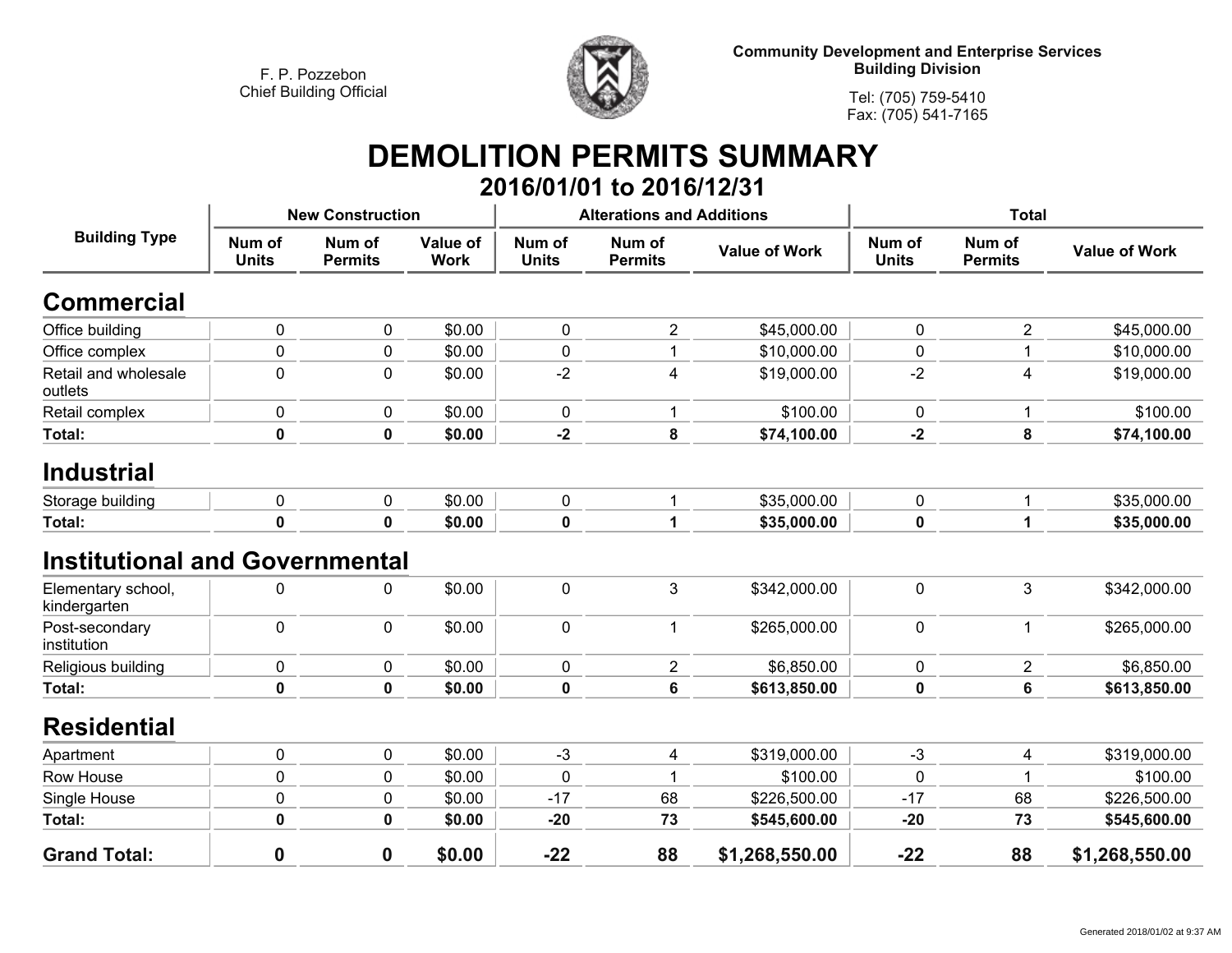

**Tel: (705) 759-5410Fax: (705) 541-7165**

#### **DEMOLITION PERMITS SUMMARY 2016/01/01 to 2016/12/31**

| <b>Building Type</b>                  |                        | <b>New Construction</b>  |                                |                        | <b>Alterations and Additions</b> |                      | <b>Total</b>           |                          |                      |
|---------------------------------------|------------------------|--------------------------|--------------------------------|------------------------|----------------------------------|----------------------|------------------------|--------------------------|----------------------|
|                                       | Num of<br><b>Units</b> | Num of<br><b>Permits</b> | <b>Value of</b><br><b>Work</b> | Num of<br><b>Units</b> | Num of<br><b>Permits</b>         | <b>Value of Work</b> | Num of<br><b>Units</b> | Num of<br><b>Permits</b> | <b>Value of Work</b> |
| <b>Commercial</b>                     |                        |                          |                                |                        |                                  |                      |                        |                          |                      |
| Office building                       | $\mathbf 0$            | 0                        | \$0.00                         | $\mathbf 0$            | $\overline{2}$                   | \$45,000.00          | 0                      | $\overline{2}$           | \$45,000.00          |
| Office complex                        | 0                      | 0                        | \$0.00                         | 0                      |                                  | \$10,000.00          | 0                      |                          | \$10,000.00          |
| Retail and wholesale<br>outlets       | $\mathbf 0$            | 0                        | \$0.00                         | $-2$                   | 4                                | \$19,000.00          | $-2$                   | 4                        | \$19,000.00          |
| Retail complex                        | $\pmb{0}$              | 0                        | \$0.00                         | $\mathbf 0$            |                                  | \$100.00             | $\mathbf 0$            | 1                        | \$100.00             |
| Total:                                | $\pmb{0}$              | $\pmb{0}$                | \$0.00                         | $-2$                   | 8                                | \$74,100.00          | $-2$                   | 8                        | \$74,100.00          |
| <b>Industrial</b>                     |                        |                          |                                |                        |                                  |                      |                        |                          |                      |
| Storage building                      | 0                      | 0                        | \$0.00                         | 0                      |                                  | \$35,000.00          | 0                      |                          | \$35,000.00          |
| Total:                                | $\mathbf 0$            | $\mathbf 0$              | \$0.00                         | 0                      | 1                                | \$35,000.00          | 0                      | 1                        | \$35,000.00          |
| <b>Institutional and Governmental</b> |                        |                          |                                |                        |                                  |                      |                        |                          |                      |
| Elementary school,<br>kindergarten    | 0                      | 0                        | \$0.00                         | $\mathbf 0$            | 3                                | \$342,000.00         | $\mathbf 0$            | 3                        | \$342,000.00         |
| Post-secondary<br>institution         | $\mathbf 0$            | 0                        | \$0.00                         | $\mathbf 0$            |                                  | \$265,000.00         | 0                      | 1                        | \$265,000.00         |
| Religious building                    | $\mathbf 0$            | 0                        | \$0.00                         | 0                      | $\overline{2}$                   | \$6,850.00           | 0                      | $\overline{2}$           | \$6,850.00           |
| Total:                                | 0                      | 0                        | \$0.00                         | 0                      | 6                                | \$613,850.00         | 0                      | 6                        | \$613,850.00         |
| <b>Residential</b>                    |                        |                          |                                |                        |                                  |                      |                        |                          |                      |
| Apartment                             | 0                      | 0                        | \$0.00                         | $-3$                   | 4                                | \$319,000.00         | $-3$                   | 4                        | \$319,000.00         |
| Row House                             | 0                      | 0                        | \$0.00                         | 0                      |                                  | \$100.00             | 0                      | 1                        | \$100.00             |
| Single House                          | 0                      | 0                        | \$0.00                         | $-17$                  | 68                               | \$226,500.00         | $-17$                  | 68                       | \$226,500.00         |
| Total:                                | $\mathbf 0$            | $\pmb{0}$                | \$0.00                         | $-20$                  | 73                               | \$545,600.00         | $-20$                  | 73                       | \$545,600.00         |
| <b>Grand Total:</b>                   | $\bf{0}$               | $\mathbf 0$              | \$0.00                         | $-22$                  | 88                               | \$1,268,550.00       | $-22$                  | 88                       | \$1,268,550.00       |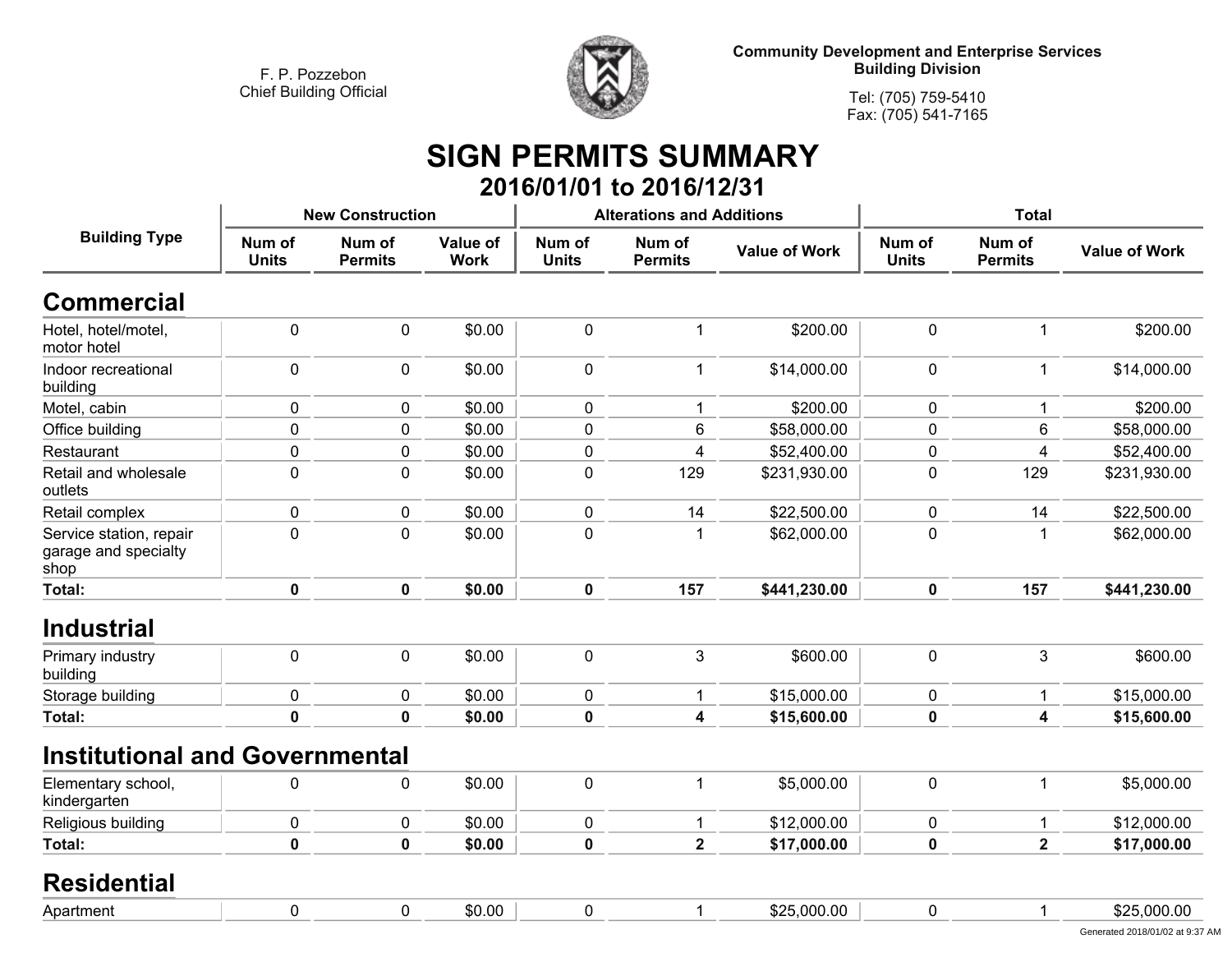

**Tel: (705) 759-5410Fax: (705) 541-7165**

### **SIGN PERMITS SUMMARY 2016/01/01 to 2016/12/31**

| <b>Building Type</b>                                    |                        | <b>New Construction</b>  |                         |                        | <b>Alterations and Additions</b> |                      | <b>Total</b>           |                          |                      |
|---------------------------------------------------------|------------------------|--------------------------|-------------------------|------------------------|----------------------------------|----------------------|------------------------|--------------------------|----------------------|
|                                                         | Num of<br><b>Units</b> | Num of<br><b>Permits</b> | Value of<br><b>Work</b> | Num of<br><b>Units</b> | Num of<br><b>Permits</b>         | <b>Value of Work</b> | Num of<br><b>Units</b> | Num of<br><b>Permits</b> | <b>Value of Work</b> |
| <b>Commercial</b>                                       |                        |                          |                         |                        |                                  |                      |                        |                          |                      |
| Hotel, hotel/motel,<br>motor hotel                      | $\pmb{0}$              | $\mathbf 0$              | \$0.00                  | $\pmb{0}$              | $\mathbf{1}$                     | \$200.00             | $\mathbf 0$            | 1                        | \$200.00             |
| Indoor recreational<br>building                         | $\pmb{0}$              | $\mathbf 0$              | \$0.00                  | $\mathbf 0$            | 1                                | \$14,000.00          | $\mathbf 0$            | 1                        | \$14,000.00          |
| Motel, cabin                                            | $\pmb{0}$              | 0                        | \$0.00                  | $\mathbf 0$            | 1                                | \$200.00             | 0                      | 1                        | \$200.00             |
| Office building                                         | 0                      | $\mathbf 0$              | \$0.00                  | 0                      | 6                                | \$58,000.00          | $\mathbf 0$            | 6                        | \$58,000.00          |
| Restaurant                                              | $\pmb{0}$              | 0                        | \$0.00                  | $\pmb{0}$              | 4                                | \$52,400.00          | $\mathbf 0$            | 4                        | \$52,400.00          |
| Retail and wholesale<br>outlets                         | $\pmb{0}$              | $\mathbf 0$              | \$0.00                  | $\mathbf 0$            | 129                              | \$231,930.00         | $\mathbf 0$            | 129                      | \$231,930.00         |
| Retail complex                                          | 0                      | $\mathbf 0$              | \$0.00                  | $\mathbf 0$            | 14                               | \$22,500.00          | 0                      | 14                       | \$22,500.00          |
| Service station, repair<br>garage and specialty<br>shop | $\mathbf 0$            | $\mathbf 0$              | \$0.00                  | $\mathbf 0$            | 1                                | \$62,000.00          | $\overline{0}$         | 1                        | \$62,000.00          |
| Total:                                                  | $\pmb{0}$              | $\mathbf 0$              | \$0.00                  | $\mathbf 0$            | 157                              | \$441,230.00         | $\mathbf 0$            | 157                      | \$441,230.00         |
| <b>Industrial</b>                                       |                        |                          |                         |                        |                                  |                      |                        |                          |                      |
| Primary industry<br>building                            | $\pmb{0}$              | $\mathbf 0$              | \$0.00                  | $\mathbf 0$            | 3                                | \$600.00             | $\mathbf 0$            | 3                        | \$600.00             |
| Storage building                                        | 0                      | 0                        | \$0.00                  | $\mathbf 0$            | 1                                | \$15,000.00          | 0                      | 1                        | \$15,000.00          |
| <b>Total:</b>                                           | $\mathbf 0$            | $\mathbf 0$              | \$0.00                  | 0                      | $\overline{\mathbf{4}}$          | \$15,600.00          | $\bf{0}$               | 4                        | \$15,600.00          |
| <b>Institutional and Governmental</b>                   |                        |                          |                         |                        |                                  |                      |                        |                          |                      |
| Elementary school,<br>kindergarten                      | 0                      | $\mathbf 0$              | \$0.00                  | $\mathbf 0$            | 1                                | \$5,000.00           | $\mathbf 0$            | 1                        | \$5,000.00           |
| Religious building                                      | 0                      | 0                        | \$0.00                  | $\mathbf 0$            | 1                                | \$12,000.00          | 0                      | 1                        | \$12,000.00          |
| Total:                                                  | 0                      | $\mathbf 0$              | \$0.00                  | $\mathbf 0$            | $\overline{\mathbf{2}}$          | \$17,000.00          | $\bf{0}$               | $\overline{\mathbf{2}}$  | \$17,000.00          |
| <b>Residential</b>                                      |                        |                          |                         |                        |                                  |                      |                        |                          |                      |
| Apartment                                               | $\mathbf 0$            | 0                        | \$0.00                  | $\mathbf 0$            | 1                                | \$25,000.00          | 0                      | 1                        | \$25,000.00          |
|                                                         |                        |                          |                         |                        |                                  |                      |                        |                          |                      |